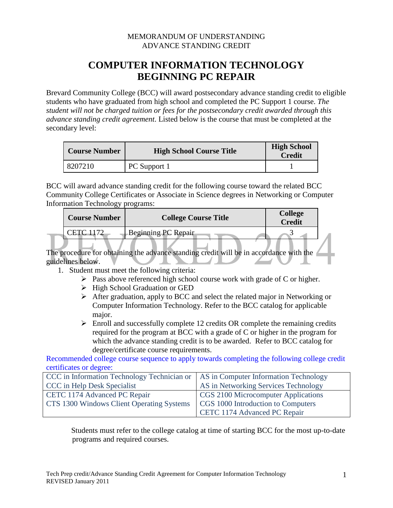## MEMORANDUM OF UNDERSTANDING ADVANCE STANDING CREDIT

## **COMPUTER INFORMATION TECHNOLOGY BEGINNING PC REPAIR**

Brevard Community College (BCC) will award postsecondary advance standing credit to eligible students who have graduated from high school and completed the PC Support 1 course. *The student will not be charged tuition or fees for the postsecondary credit awarded through this advance standing credit agreement*. Listed below is the course that must be completed at the secondary level:

| <b>Course Number</b> | <b>High School Course Title</b> | <b>High School</b><br><b>Credit</b> |
|----------------------|---------------------------------|-------------------------------------|
| 8207210              | PC Support 1                    |                                     |

BCC will award advance standing credit for the following course toward the related BCC Community College Certificates or Associate in Science degrees in Networking or Computer Information Technology programs:

| <b>Course Number</b> | <b>College Course Title</b> | <b>College</b><br><b>Credit</b> |  |
|----------------------|-----------------------------|---------------------------------|--|
| 「上」                  | Beginning PC Repair         |                                 |  |

The procedure for obtaining the advance standing credit will be in accordance with the guidelines below.

- 1. Student must meet the following criteria:
	- $\triangleright$  Pass above referenced high school course work with grade of C or higher.
	- $\triangleright$  High School Graduation or GED
	- $\triangleright$  After graduation, apply to BCC and select the related major in Networking or Computer Information Technology. Refer to the BCC catalog for applicable major.
	- $\triangleright$  Enroll and successfully complete 12 credits OR complete the remaining credits required for the program at BCC with a grade of C or higher in the program for which the advance standing credit is to be awarded. Refer to BCC catalog for degree/certificate course requirements.

Recommended college course sequence to apply towards completing the following college credit certificates or degree:

| CCC in Information Technology Technician or   AS in Computer Information Technology |                                      |  |  |
|-------------------------------------------------------------------------------------|--------------------------------------|--|--|
| CCC in Help Desk Specialist                                                         | AS in Networking Services Technology |  |  |
| CETC 1174 Advanced PC Repair                                                        | CGS 2100 Microcomputer Applications  |  |  |
| CTS 1300 Windows Client Operating Systems                                           | CGS 1000 Introduction to Computers   |  |  |
|                                                                                     | CETC 1174 Advanced PC Repair         |  |  |

Students must refer to the college catalog at time of starting BCC for the most up-to-date programs and required courses.